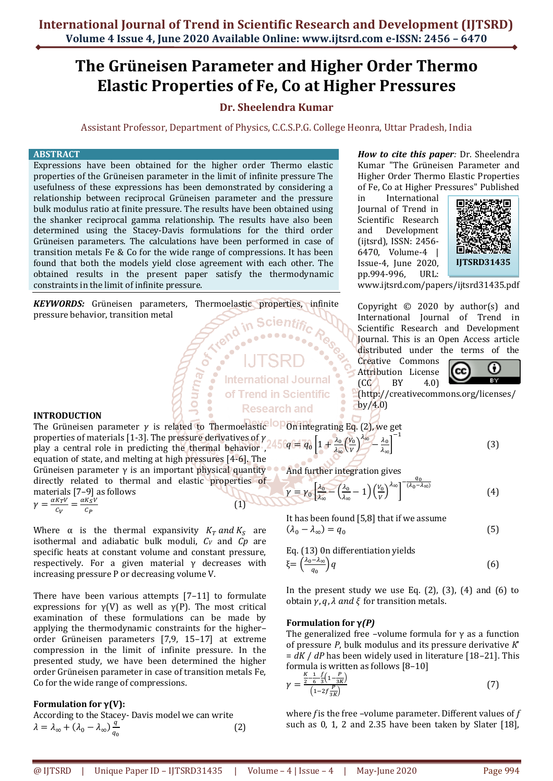# **The Grüneisen Parameter and Higher Order Thermo Elastic Properties of Fe, Co at Higher Pressures**

## **Dr. Sheelendra Kumar**

Assistant Professor, Department of Physics, C.C.S.P.G. College Heonra, Uttar Pradesh, India

## **ABSTRACT**

Expressions have been obtained for the higher order Thermo elastic properties of the Grüneisen parameter in the limit of infinite pressure The usefulness of these expressions has been demonstrated by considering a relationship between reciprocal Grüneisen parameter and the pressure bulk modulus ratio at finite pressure. The results have been obtained using the shanker reciprocal gamma relationship. The results have also been determined using the Stacey-Davis formulations for the third order Grüneisen parameters. The calculations have been performed in case of transition metals Fe & Co for the wide range of compressions. It has been found that both the models yield close agreement with each other. The obtained results in the present paper satisfy the thermodynamic constraints in the limit of infinite pressure.

*KEYWORDS:* Grüneisen parameters, Thermoelastic properties, infinite pressure behavior, transition metal in Scientific

Journal Or

**International Journal** of Trend in Scientific **Research and** 

**INTRODUCTION**

The Grüneisen parameter  $\gamma$  is related to Thermoelastic **P**On integrating Eq. (2), we get properties of materials [1-3]. The pressure derivatives of  $\gamma$ properties of materials [1-3]. The pressure derivatives of  $\gamma$  2450 $q = q_0 \left[1 + \frac{\lambda_0}{\lambda_0}\right]$ equation of state, and melting at high pressures [4-6]. The Grüneisen parameter  $\gamma$  is an important physical quantity directly related to thermal and elastic properties of  $\frac{\lambda_0}{\lambda_{\infty}}\left(\frac{V_0}{V}\right)$  $\left(\frac{V_0}{V}\right)^{\lambda_{\infty}} - \frac{\lambda_0}{\lambda_{\infty}}$  $\frac{\lambda_0}{\lambda_{\infty}}$ **And further integration gives** 

(1)

materials [7–9] as follows  $\gamma = \frac{\alpha K_T V}{c}$  $\frac{K_T V}{C_V} = \frac{\alpha K_S V}{C_P}$  $C_P$ 

Where  $\alpha$  is the thermal expansivity  $K_T$  and  $K_S$  are isothermal and adiabatic bulk moduli, *C<sup>V</sup>* and *Cp* are specific heats at constant volume and constant pressure, respectively. For a given material  $\gamma$  decreases with increasing pressure P or decreasing volume V.

There have been various attempts [7–11] to formulate expressions for  $v(V)$  as well as  $v(P)$ . The most critical examination of these formulations can be made by applying the thermodynamic constraints for the higher– order Grüneisen parameters [7,9, 15–17] at extreme compression in the limit of infinite pressure. In the presented study, we have been determined the higher order Grüneisen parameter in case of transition metals Fe, Co for the wide range of compressions.

## **Formulation for γ(V):**

According to the Stacey- Davis model we can write  $\lambda = \lambda_{\infty} + (\lambda_0 - \lambda_{\infty}) \frac{q}{q}$  $q_0$ (2) *How to cite this paper:* Dr. Sheelendra Kumar "The Grüneisen Parameter and Higher Order Thermo Elastic Properties of Fe, Co at Higher Pressures" Published

in International Journal of Trend in Scientific Research and Development (ijtsrd), ISSN: 2456- 6470, Volume-4 | Issue-4, June 2020, pp.994-996, URL:



[www.ijtsrd.com/papers/ijtsrd31435.pdf](https://www.ijtsrd.com/papers/ijtsrd31435.pdf)

Copyright  $\odot$  2020 by author(s) and International Journal of Trend in Scientific Research and Development Journal. This is an Open Access article distributed under the terms of the

Creative Commons Attribution License  $\begin{bmatrix} CC \end{bmatrix}$  BY 4.0)



(5)

(http://creativecommons.org/licenses/  $by/4.0$ 

$$
\left[\frac{1}{2}\right]^{-1} \tag{3}
$$

$$
\gamma = \gamma_0 \left[ \frac{\lambda_0}{\lambda_{\infty}} - \left( \frac{\lambda_0}{\lambda_{\infty}} - 1 \right) \left( \frac{V_0}{V} \right)^{\lambda_{\infty}} \right]^{-\frac{q_0}{(\lambda_0 - \lambda_{\infty})}}
$$
(4)

It has been found [5,8] that if we assume  $(\lambda_0 - \lambda_\infty) = q_0$ 

Eq. (13) On differentiation yields  
\n
$$
\xi = \left(\frac{\lambda_0 - \lambda_\infty}{q_0}\right) q
$$
\n(6)

In the present study we use Eq.  $(2)$ ,  $(3)$ ,  $(4)$  and  $(6)$  to obtain  $\gamma$ ,  $q$ ,  $\lambda$  and  $\xi$  for transition metals.

## **Formulation for γ***(P)*

The generalized free –volume formula for  $\gamma$  as a function of pressure *P*, bulk modulus and its pressure derivative *K*' = *dK* / *dP* has been widely used in literature [18–21]. This formula is written as follows [8–10]

$$
\gamma = \frac{\frac{K}{2} - \frac{1}{6} - \frac{f}{3}\left(1 - \frac{P}{2K}\right)}{\left(1 - 2f \frac{P}{3K}\right)}
$$
(7)

where *f* is the free –volume parameter. Different values of *f*  such as 0, 1, 2 and 2.35 have been taken by Slater [18],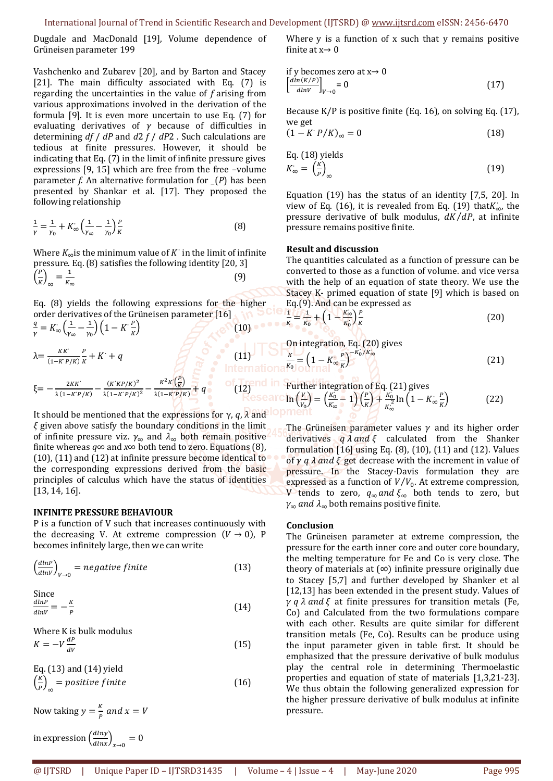Dugdale and MacDonald [19], Volume dependence of Grüneisen parameter 199

Vashchenko and Zubarev [20], and by Barton and Stacey [21]. The main difficulty associated with Eq. (7) is regarding the uncertainties in the value of *f* arising from various approximations involved in the derivation of the formula [9]. It is even more uncertain to use Eq. (7) for evaluating derivatives of *γ* because of difficulties in determining *df* / *dP* and *d*2 *f* / *dP*2 . Such calculations are tedious at finite pressures. However, it should be indicating that Eq. (7) in the limit of infinite pressure gives expressions [9, 15] which are free from the free –volume parameter *f.* An alternative formulation for *\_*(*P*) has been presented by Shankar et al. [17]. They proposed the following relationship

$$
\frac{1}{\gamma} = \frac{1}{\gamma_0} + K_{\infty} \left( \frac{1}{\gamma_{\infty}} - \frac{1}{\gamma_0} \right) \frac{P}{K}
$$
(8)

Where  $K_{\infty}$  is the minimum value of  $K^{\cdot}$  in the limit of infinite pressure. Eq.(8) satisfies the following identity [20, 3]  $\left(\frac{P}{v}\right)$  $\left(\frac{P}{K}\right)_{\infty} = \frac{1}{K_{c}}$ *∞* (9)

Eq. (8) yields the following expressions for the higher order derivatives of the Grüneisen parameter [16]  $\overline{q}$  $\frac{q}{\gamma} = K_{\infty} \left( \frac{1}{\gamma_{\circ}} \right)$  $\frac{1}{\gamma_{\infty}} - \frac{1}{\gamma_{0}}$  $\frac{1}{\gamma_0}\bigg)\bigg(1-K\dot{R}\frac{P}{K}\bigg)$  $\mathcal{L}$  (10)  $\cdots$  of  $\mathcal{L}$ 

$$
\lambda = \frac{\kappa \kappa^{2}}{(1 - K^{2}P/K)^{2}} \frac{P}{\kappa} + K^{2} + q
$$
\n(21)  
\n
$$
\xi = -\frac{2K\kappa^{2}}{\lambda(1 - K^{2}P/K)} - \frac{(K^{2}K^{2}P/K)^{2}}{\lambda(1 - K^{2}P/K)^{2}} - \frac{K^{2}K^{2}(\frac{P}{K})}{\lambda(1 - K^{2}P/K)} + q
$$
\n(22)  
\n
$$
\xi = -\frac{2K\kappa^{2}}{\lambda(1 - K^{2}P/K)} - \frac{(K^{2}K^{2}P/K)^{2}}{\lambda(1 - K^{2}P/K)} - \frac{K^{2}K^{2}(\frac{P}{K})}{\lambda(1 - K^{2}P/K)} + q
$$
\n(22)  
\n
$$
\xi = -\frac{2K\kappa^{2}}{\lambda(1 - K^{2}P/K)} - \frac{(K^{2}K^{2}P/K)^{2}}{\lambda(1 - K^{2}P/K)^{2}} - \frac{K^{2}K^{2}(\frac{P}{K})}{\lambda(1 - K^{2}P/K)} + q
$$
\n(22)

1

It should be mentioned that the expressions for γ, *q*, *λ* and *ξ* given above satisfy the boundary conditions in the limit of infinite pressure viz.  $\gamma_{\infty}$  and  $\lambda_{\infty}$  both remain positive finite whereas *q*∞ and *x*∞ both tend to zero. Equations (8), (10), (11) and (12) at infinite pressure become identical to the corresponding expressions derived from the basic principles of calculus which have the status of identities [13, 14, 16].

#### **INFINITE PRESSURE BEHAVIOUR**

P is a function of V such that increases continuously with the decreasing V. At extreme compression  $(V \rightarrow 0)$ , P becomes infinitely large, then we can write

$$
\left(\frac{dlnP}{dlnV}\right)_{V\to 0} = negative finite
$$
 (13)

Since  
\n
$$
\frac{dlnP}{dlnV} = -\frac{K}{P}
$$
\n(14)

Where K is bulk modulus  $K = -V \frac{dP}{dV}$ 

$$
\Lambda = -V \frac{dV}{dV}
$$
\n
$$
\Gamma = (12) \text{ and } (14) \text{ with } V
$$
\n
$$
\Gamma = (12) \text{ and } (14) \text{ with } V
$$

Eq. (13) and (14) yield  
\n
$$
\left(\frac{K}{P}\right)_{\infty} = positive finite
$$
 (16)

Now taking  $y = \frac{K}{R}$  $\frac{R}{p}$  and  $x = V$ 

in expression 
$$
\left(\frac{dln y}{dln x}\right)_{x\to 0} = 0
$$

Where y is a function of x such that y remains positive finite at  $x \rightarrow 0$ 

if y becomes zero at x
$$
\rightarrow
$$
 0  
\n
$$
\left[\frac{dln(K/P)}{dlnV}\right]_{V\rightarrow 0} = 0
$$
\n(17)

Because K/P is positive finite (Eq. 16), on solving Eq. (17), we get

$$
(1 - K \cdot P/K)_{\infty} = 0 \tag{18}
$$

Eq. (18) yields  

$$
K_{\infty} = \left(\frac{K}{P}\right)_{\infty} \tag{19}
$$

Equation (19) has the status of an identity [7,5, 20]. In view of Eq. (16), it is revealed from Eq. (19) thatK<sub>∞</sub>, the pressure derivative of bulk modulus,  $dK/dP$ , at infinite pressure remains positive finite.

### **Result and discussion**

 $\epsilon$ 

The quantities calculated as a function of pressure can be converted to those as a function of volume. and vice versa with the help of an equation of state theory. We use the Stacey K- primed equation of state [9] which is based on Eq.(9). And can be expressed as

$$
= \frac{1}{K_0} + \left(1 - \frac{K_{\infty}'}{K_0}\right) \frac{P}{K}
$$
 (20)

**nd in** Further integration of Eq. (21) gives  
\n**search** 
$$
\ln\left(\frac{V}{V_0}\right) = \left(\frac{K_0}{K_{\infty}} - 1\right) \left(\frac{P}{K}\right) + \frac{K_0}{K_{\infty}^2} \ln\left(1 - K_{\infty} \frac{P}{K}\right)
$$
 (22)

The Grüneisen parameter values  $\gamma$  and its higher order derivatives  $q \lambda$  and  $\xi$  calculated from the Shanker formulation [16] using Eq. (8), (10), (11) and (12). Values of  $\gamma$  *q*  $\lambda$  *and*  $\xi$  get decrease with the increment in value of pressure. In the Stacey-Davis formulation they are expressed as a function of  $V/V_0$ . At extreme compression, V tends to zero,  $q_{\infty}$  *and*  $\xi_{\infty}$  both tends to zero, but  $\gamma_{\infty}$  *and*  $\lambda_{\infty}$  both remains positive finite.

#### **Conclusion**

The Grüneisen parameter at extreme compression, the pressure for the earth inner core and outer core boundary, the melting temperature for Fe and Co is very close. The theory of materials at (*∞*) infinite pressure originally due to Stacey [5,7] and further developed by Shanker et al [12,13] has been extended in the present study. Values of  $\gamma$  *q*  $\lambda$  *and*  $\xi$  at finite pressures for transition metals (Fe, Co) and Calculated from the two formulations compare with each other. Results are quite similar for different transition metals (Fe, Co). Results can be produce using the input parameter given in table first. It should be emphasized that the pressure derivative of bulk modulus play the central role in determining Thermoelastic properties and equation of state of materials [1,3,21-23]. We thus obtain the following generalized expression for the higher pressure derivative of bulk modulus at infinite pressure.

 $(15)$